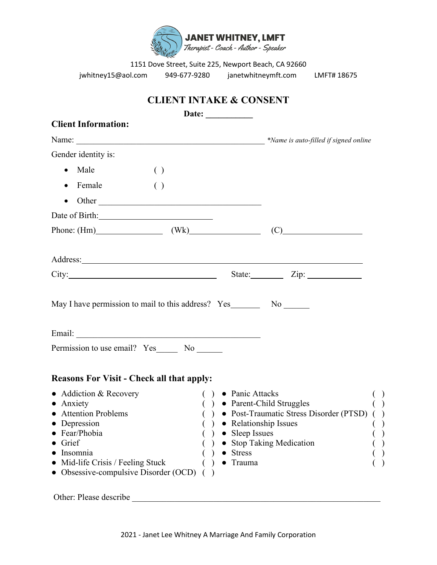

jwhitney15@aol.com 949-677-9280 janetwhitneymft.com LMFT# 18675

|                                                                                                                                                                                                                                      |                                               | Date: $\qquad \qquad$ | <b>CLIENT INTAKE &amp; CONSENT</b>                       |                                       |                                        |
|--------------------------------------------------------------------------------------------------------------------------------------------------------------------------------------------------------------------------------------|-----------------------------------------------|-----------------------|----------------------------------------------------------|---------------------------------------|----------------------------------------|
| <b>Client Information:</b>                                                                                                                                                                                                           |                                               |                       |                                                          |                                       |                                        |
|                                                                                                                                                                                                                                      |                                               |                       |                                                          |                                       |                                        |
| Gender identity is:                                                                                                                                                                                                                  |                                               |                       |                                                          |                                       |                                        |
| • Male                                                                                                                                                                                                                               | $\left( \ \right)$                            |                       |                                                          |                                       |                                        |
| $\bullet$ Female                                                                                                                                                                                                                     | $\left( \begin{array}{c} \end{array} \right)$ |                       |                                                          |                                       |                                        |
| $\bullet$ Other                                                                                                                                                                                                                      |                                               |                       |                                                          |                                       |                                        |
|                                                                                                                                                                                                                                      |                                               |                       |                                                          |                                       |                                        |
|                                                                                                                                                                                                                                      |                                               |                       |                                                          | Phone: $(Hm)$ $(Wk)$ $(C)$ $(C)$      |                                        |
|                                                                                                                                                                                                                                      |                                               |                       |                                                          |                                       |                                        |
| Address: <u>example and the set of the set of the set of the set of the set of the set of the set of the set of the set of the set of the set of the set of the set of the set of the set of the set of the set of the set of th</u> |                                               |                       |                                                          |                                       |                                        |
|                                                                                                                                                                                                                                      |                                               |                       |                                                          |                                       |                                        |
|                                                                                                                                                                                                                                      |                                               |                       |                                                          |                                       |                                        |
| May I have permission to mail to this address? Yes___________ No _______                                                                                                                                                             |                                               |                       |                                                          |                                       |                                        |
| Permission to use email? Yes_______ No _______                                                                                                                                                                                       |                                               |                       |                                                          |                                       |                                        |
| <b>Reasons For Visit - Check all that apply:</b><br>• Addiction & Recovery                                                                                                                                                           |                                               |                       | $( ) \bullet$ Panic Attacks                              |                                       |                                        |
| • Anxiety                                                                                                                                                                                                                            |                                               |                       | ( ) ● Parent-Child Struggles                             |                                       | $\begin{pmatrix} 0 \\ 1 \end{pmatrix}$ |
| <b>Attention Problems</b><br>Depression                                                                                                                                                                                              |                                               |                       | Relationship Issues                                      | Post-Traumatic Stress Disorder (PTSD) |                                        |
| Fear/Phobia                                                                                                                                                                                                                          |                                               |                       | Sleep Issues                                             |                                       |                                        |
| Grief<br>Insomnia<br>Mid-life Crisis / Feeling Stuck                                                                                                                                                                                 |                                               |                       | <b>Stop Taking Medication</b><br><b>Stress</b><br>Trauma |                                       |                                        |

Other: Please describe \_\_\_\_\_\_\_\_\_\_\_\_\_\_\_\_\_\_\_\_\_\_\_\_\_\_\_\_\_\_\_\_\_\_\_\_\_\_\_\_\_\_\_\_\_\_\_\_\_\_\_\_\_\_\_\_\_\_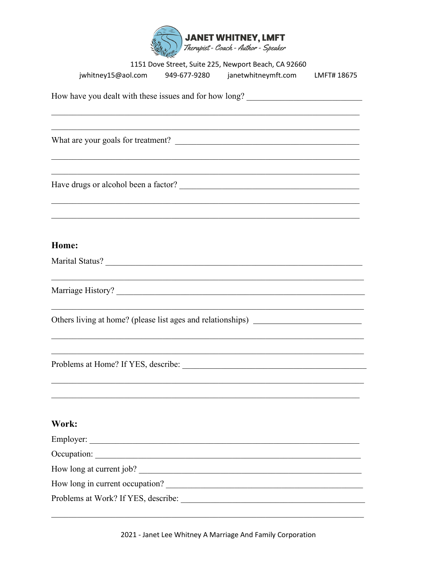

|                                                                                   | 1151 Dove Street, Suite 225, Newport Beach, CA 92660        |             |
|-----------------------------------------------------------------------------------|-------------------------------------------------------------|-------------|
|                                                                                   | jwhitney15@aol.com 949-677-9280 janetwhitneymft.com         | LMFT# 18675 |
| How have you dealt with these issues and for how long? _________________________  |                                                             |             |
|                                                                                   |                                                             |             |
|                                                                                   |                                                             |             |
|                                                                                   |                                                             |             |
|                                                                                   |                                                             |             |
|                                                                                   |                                                             |             |
|                                                                                   |                                                             |             |
|                                                                                   |                                                             |             |
| Home:                                                                             |                                                             |             |
| Marital Status?                                                                   |                                                             |             |
|                                                                                   | <u> 1989 - Johann Stoff, amerikansk politiker (d. 1989)</u> |             |
|                                                                                   |                                                             |             |
| Others living at home? (please list ages and relationships) _____________________ |                                                             |             |
|                                                                                   |                                                             |             |
|                                                                                   |                                                             |             |
|                                                                                   |                                                             |             |
|                                                                                   |                                                             |             |
|                                                                                   |                                                             |             |
| Work:                                                                             |                                                             |             |
| Employer:                                                                         |                                                             |             |
| Occupation:                                                                       |                                                             |             |
| How long at current job?                                                          |                                                             |             |
| How long in current occupation?                                                   |                                                             |             |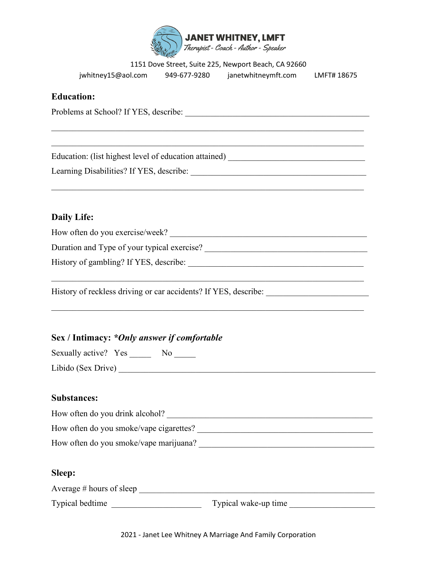

| jwhitney15@aol.com | 949-677-9280 | janetwhitneymft.com | LMFT# 18675 |
|--------------------|--------------|---------------------|-------------|
|                    |              |                     |             |

#### **Education:**

Problems at School? If YES, describe: \_\_\_\_\_\_\_\_\_\_\_\_\_\_\_\_\_\_\_\_\_\_\_\_\_\_\_\_\_\_\_\_\_\_\_\_\_\_\_\_\_\_\_

 $\mathcal{L}_\text{G}$  , and the contribution of the contribution of the contribution of the contribution of the contribution of the contribution of the contribution of the contribution of the contribution of the contribution of t

 $\_$  , and the set of the set of the set of the set of the set of the set of the set of the set of the set of the set of the set of the set of the set of the set of the set of the set of the set of the set of the set of th

Education: (list highest level of education attained) \_\_\_\_\_\_\_\_\_\_\_\_\_\_\_\_\_\_\_\_\_\_\_\_\_\_\_

Learning Disabilities? If YES, describe: \_\_\_\_\_\_\_\_\_\_\_\_\_\_\_\_\_\_\_\_\_\_\_\_\_\_\_\_\_\_\_\_\_\_\_\_\_\_\_\_\_

# **Daily Life:**

| How often do you exercise/week?                                                   |
|-----------------------------------------------------------------------------------|
|                                                                                   |
|                                                                                   |
| History of reckless driving or car accidents? If YES, describe: _________________ |
| Sex / Intimacy: *Only answer if comfortable<br>Sexually active? Yes No            |
|                                                                                   |

## **Substances:**

| How often do you drink alcohol?         |  |
|-----------------------------------------|--|
| How often do you smoke/vape cigarettes? |  |
| How often do you smoke/vape marijuana?  |  |

## **Sleep:**

| Average $#$ hours of sleep |  |
|----------------------------|--|
|                            |  |

Typical bedtime \_\_\_\_\_\_\_\_\_\_\_\_\_\_\_\_\_\_\_\_\_ Typical wake-up time \_\_\_\_\_\_\_\_\_\_\_\_\_\_\_\_\_\_\_\_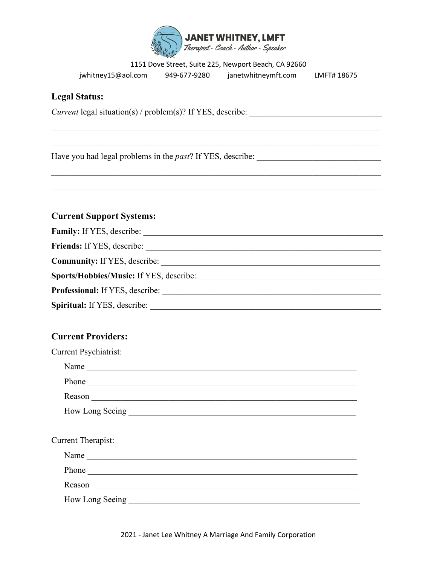

jwhitney15@aol.com 949-677-9280 janetwhitneymft.com LMFT# 18675

### **Legal Status:**

Current legal situation(s) / problem(s)? If YES, describe: \_\_\_\_\_\_\_\_\_\_\_\_\_\_\_\_\_\_\_\_\_\_

Have you had legal problems in the past? If YES, describe:

## **Current Support Systems:**

| <b>Family:</b> If YES, describe:               |
|------------------------------------------------|
| <b>Friends:</b> If YES, describe:              |
| <b>Community:</b> If YES, describe:            |
| <b>Sports/Hobbies/Music:</b> If YES, describe: |
| <b>Professional:</b> If YES, describe:         |
| <b>Spiritual:</b> If YES, describe:            |

## **Current Providers:**

| <b>Current Psychiatrist:</b>                                                                                                                                                                                                   |
|--------------------------------------------------------------------------------------------------------------------------------------------------------------------------------------------------------------------------------|
| Name                                                                                                                                                                                                                           |
|                                                                                                                                                                                                                                |
| Reason entrepreneurs and the contract of the contract of the contract of the contract of the contract of the contract of the contract of the contract of the contract of the contract of the contract of the contract of the c |
|                                                                                                                                                                                                                                |
|                                                                                                                                                                                                                                |
| Current Therapist:                                                                                                                                                                                                             |
| Name                                                                                                                                                                                                                           |
|                                                                                                                                                                                                                                |
| Reason experience and the contract of the contract of the contract of the contract of the contract of the contract of the contract of the contract of the contract of the contract of the contract of the contract of the cont |
|                                                                                                                                                                                                                                |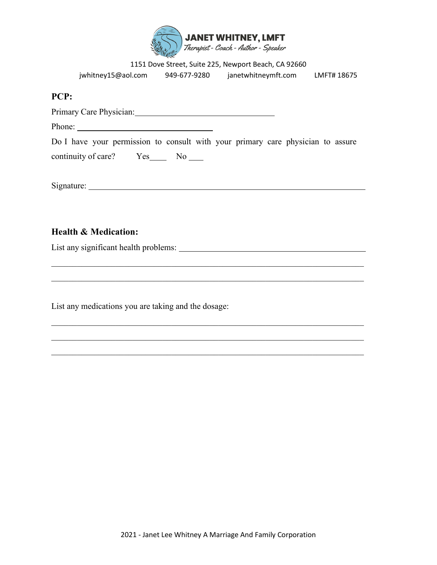

| 1151 Dove Street, Suite 225, Newport Beach, CA 92660 |  |  |  |
|------------------------------------------------------|--|--|--|
|------------------------------------------------------|--|--|--|

|        | jwhitney15@aol.com      | 949-677-9280 | janetwhitneymft.com                                                             | LMFT# 18675 |
|--------|-------------------------|--------------|---------------------------------------------------------------------------------|-------------|
| PCP:   |                         |              |                                                                                 |             |
|        | Primary Care Physician: |              |                                                                                 |             |
| Phone: |                         |              |                                                                                 |             |
|        |                         |              | Do I have your permission to consult with your primary care physician to assure |             |
|        | continuity of care? Yes | No.          |                                                                                 |             |

Signature:

 $\mathcal{L}_\text{G}$  , and the contribution of the contribution of the contribution of the contribution of the contribution of the contribution of the contribution of the contribution of the contribution of the contribution of t

 $\mathcal{L}_\text{G}$  , and the contribution of the contribution of the contribution of the contribution of the contribution of the contribution of the contribution of the contribution of the contribution of the contribution of t

## **Health & Medication:**

List any significant health problems:

List any medications you are taking and the dosage: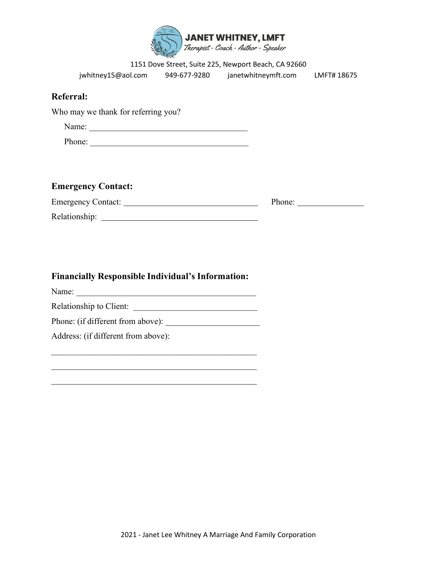

|                                                          | 1151 Dove Street, Suite 225, Newport Beach, CA 92660           |        |
|----------------------------------------------------------|----------------------------------------------------------------|--------|
|                                                          | jwhitney15@aol.com 949-677-9280 janetwhitneymft.com LMFT#18675 |        |
| <b>Referral:</b>                                         |                                                                |        |
| Who may we thank for referring you?                      |                                                                |        |
|                                                          |                                                                |        |
| Phone:                                                   |                                                                |        |
|                                                          |                                                                |        |
|                                                          |                                                                |        |
| <b>Emergency Contact:</b>                                |                                                                |        |
|                                                          |                                                                | Phone: |
|                                                          |                                                                |        |
|                                                          |                                                                |        |
|                                                          |                                                                |        |
|                                                          |                                                                |        |
| <b>Financially Responsible Individual's Information:</b> |                                                                |        |
|                                                          |                                                                |        |
|                                                          |                                                                |        |
|                                                          |                                                                |        |
| Address: (if different from above):                      |                                                                |        |
|                                                          |                                                                |        |

\_\_\_\_\_\_\_\_\_\_\_\_\_\_\_\_\_\_\_\_\_\_\_\_\_\_\_\_\_\_\_\_\_\_\_\_\_\_\_\_\_\_\_\_\_\_\_\_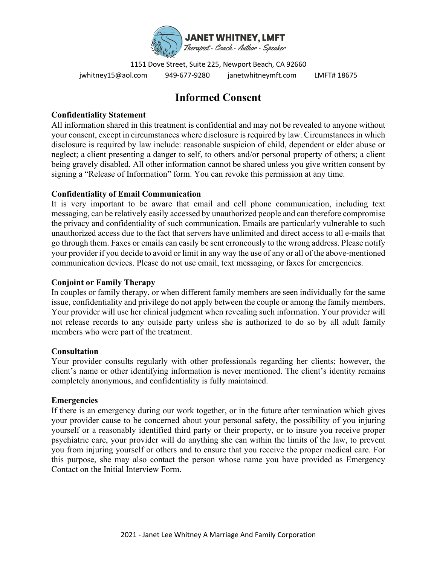

1151 Dove Street, Suite 225, Newport Beach, CA 92660 jwhitney15@aol.com 949-677-9280 janetwhitneymft.com LMFT# 18675

# **Informed Consent**

#### **Confidentiality Statement**

All information shared in this treatment is confidential and may not be revealed to anyone without your consent, except in circumstances where disclosure is required by law. Circumstances in which disclosure is required by law include: reasonable suspicion of child, dependent or elder abuse or neglect; a client presenting a danger to self, to others and/or personal property of others; a client being gravely disabled. All other information cannot be shared unless you give written consent by signing a "Release of Information" form. You can revoke this permission at any time.

#### **Confidentiality of Email Communication**

It is very important to be aware that email and cell phone communication, including text messaging, can be relatively easily accessed by unauthorized people and can therefore compromise the privacy and confidentiality of such communication. Emails are particularly vulnerable to such unauthorized access due to the fact that servers have unlimited and direct access to all e-mails that go through them. Faxes or emails can easily be sent erroneously to the wrong address. Please notify your provider if you decide to avoid or limit in any way the use of any or all of the above-mentioned communication devices. Please do not use email, text messaging, or faxes for emergencies.

#### **Conjoint or Family Therapy**

In couples or family therapy, or when different family members are seen individually for the same issue, confidentiality and privilege do not apply between the couple or among the family members. Your provider will use her clinical judgment when revealing such information. Your provider will not release records to any outside party unless she is authorized to do so by all adult family members who were part of the treatment.

#### **Consultation**

Your provider consults regularly with other professionals regarding her clients; however, the client's name or other identifying information is never mentioned. The client's identity remains completely anonymous, and confidentiality is fully maintained.

#### **Emergencies**

If there is an emergency during our work together, or in the future after termination which gives your provider cause to be concerned about your personal safety, the possibility of you injuring yourself or a reasonably identified third party or their property, or to insure you receive proper psychiatric care, your provider will do anything she can within the limits of the law, to prevent you from injuring yourself or others and to ensure that you receive the proper medical care. For this purpose, she may also contact the person whose name you have provided as Emergency Contact on the Initial Interview Form.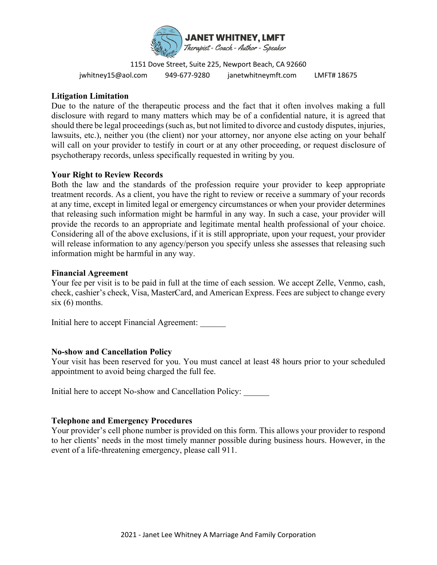

1151 Dove Street, Suite 225, Newport Beach, CA 92660 jwhitney15@aol.com 949-677-9280 janetwhitneymft.com LMFT# 18675

#### **Litigation Limitation**

Due to the nature of the therapeutic process and the fact that it often involves making a full disclosure with regard to many matters which may be of a confidential nature, it is agreed that should there be legal proceedings (such as, but not limited to divorce and custody disputes, injuries, lawsuits, etc.), neither you (the client) nor your attorney, nor anyone else acting on your behalf will call on your provider to testify in court or at any other proceeding, or request disclosure of psychotherapy records, unless specifically requested in writing by you.

#### **Your Right to Review Records**

Both the law and the standards of the profession require your provider to keep appropriate treatment records. As a client, you have the right to review or receive a summary of your records at any time, except in limited legal or emergency circumstances or when your provider determines that releasing such information might be harmful in any way. In such a case, your provider will provide the records to an appropriate and legitimate mental health professional of your choice. Considering all of the above exclusions, if it is still appropriate, upon your request, your provider will release information to any agency/person you specify unless she assesses that releasing such information might be harmful in any way.

#### **Financial Agreement**

Your fee per visit is to be paid in full at the time of each session. We accept Zelle, Venmo, cash, check, cashier's check, Visa, MasterCard, and American Express. Fees are subject to change every  $six(6)$  months.

Initial here to accept Financial Agreement:

#### **No-show and Cancellation Policy**

Your visit has been reserved for you. You must cancel at least 48 hours prior to your scheduled appointment to avoid being charged the full fee.

Initial here to accept No-show and Cancellation Policy:

#### **Telephone and Emergency Procedures**

Your provider's cell phone number is provided on this form. This allows your provider to respond to her clients' needs in the most timely manner possible during business hours. However, in the event of a life-threatening emergency, please call 911.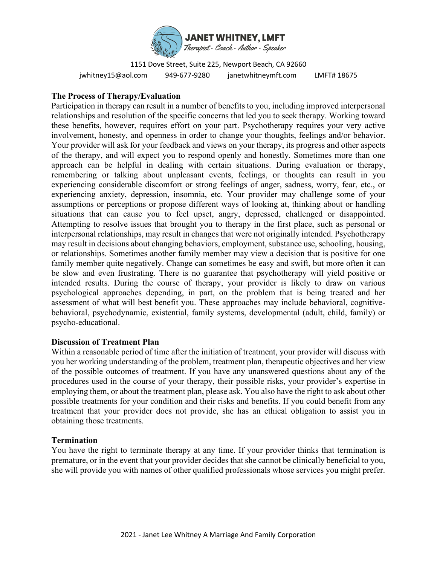

1151 Dove Street, Suite 225, Newport Beach, CA 92660 jwhitney15@aol.com 949-677-9280 janetwhitneymft.com LMFT# 18675

#### **The Process of Therapy/Evaluation**

Participation in therapy can result in a number of benefits to you, including improved interpersonal relationships and resolution of the specific concerns that led you to seek therapy. Working toward these benefits, however, requires effort on your part. Psychotherapy requires your very active involvement, honesty, and openness in order to change your thoughts, feelings and/or behavior. Your provider will ask for your feedback and views on your therapy, its progress and other aspects of the therapy, and will expect you to respond openly and honestly. Sometimes more than one approach can be helpful in dealing with certain situations. During evaluation or therapy, remembering or talking about unpleasant events, feelings, or thoughts can result in you experiencing considerable discomfort or strong feelings of anger, sadness, worry, fear, etc., or experiencing anxiety, depression, insomnia, etc. Your provider may challenge some of your assumptions or perceptions or propose different ways of looking at, thinking about or handling situations that can cause you to feel upset, angry, depressed, challenged or disappointed. Attempting to resolve issues that brought you to therapy in the first place, such as personal or interpersonal relationships, may result in changes that were not originally intended. Psychotherapy may result in decisions about changing behaviors, employment, substance use, schooling, housing, or relationships. Sometimes another family member may view a decision that is positive for one family member quite negatively. Change can sometimes be easy and swift, but more often it can be slow and even frustrating. There is no guarantee that psychotherapy will yield positive or intended results. During the course of therapy, your provider is likely to draw on various psychological approaches depending, in part, on the problem that is being treated and her assessment of what will best benefit you. These approaches may include behavioral, cognitivebehavioral, psychodynamic, existential, family systems, developmental (adult, child, family) or psycho-educational.

#### **Discussion of Treatment Plan**

Within a reasonable period of time after the initiation of treatment, your provider will discuss with you her working understanding of the problem, treatment plan, therapeutic objectives and her view of the possible outcomes of treatment. If you have any unanswered questions about any of the procedures used in the course of your therapy, their possible risks, your provider's expertise in employing them, or about the treatment plan, please ask. You also have the right to ask about other possible treatments for your condition and their risks and benefits. If you could benefit from any treatment that your provider does not provide, she has an ethical obligation to assist you in obtaining those treatments.

#### **Termination**

You have the right to terminate therapy at any time. If your provider thinks that termination is premature, or in the event that your provider decides that she cannot be clinically beneficial to you, she will provide you with names of other qualified professionals whose services you might prefer.